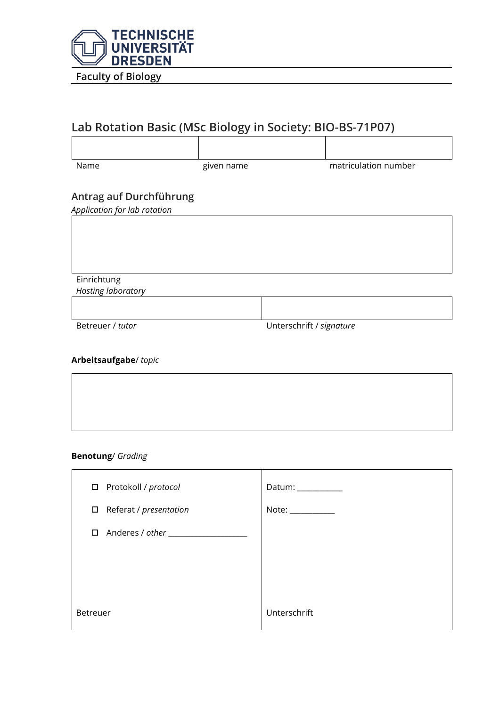

# **Lab Rotation Basic (MSc Biology in Society: BIO-BS-71P07)**

| Name                                                    | given name | matriculation number |
|---------------------------------------------------------|------------|----------------------|
| Antrag auf Durchführung<br>Application for lab rotation |            |                      |
|                                                         |            |                      |
|                                                         |            |                      |
|                                                         |            |                      |
| Einrichtung                                             |            |                      |
| Hosting laboratory                                      |            |                      |

Betreuer / *tutor* Unterschrift / *signature*

### **Arbeitsaufgabe**/ *topic*

#### **Benotung**/ *Grading*

| □ Protokoll / protocol        | Datum: ___________ |
|-------------------------------|--------------------|
| $\Box$ Referat / presentation | Note: ___________  |
| $\Box$ Anderes / other $\_\_$ |                    |
|                               |                    |
|                               |                    |
| <b>Betreuer</b>               | Unterschrift       |